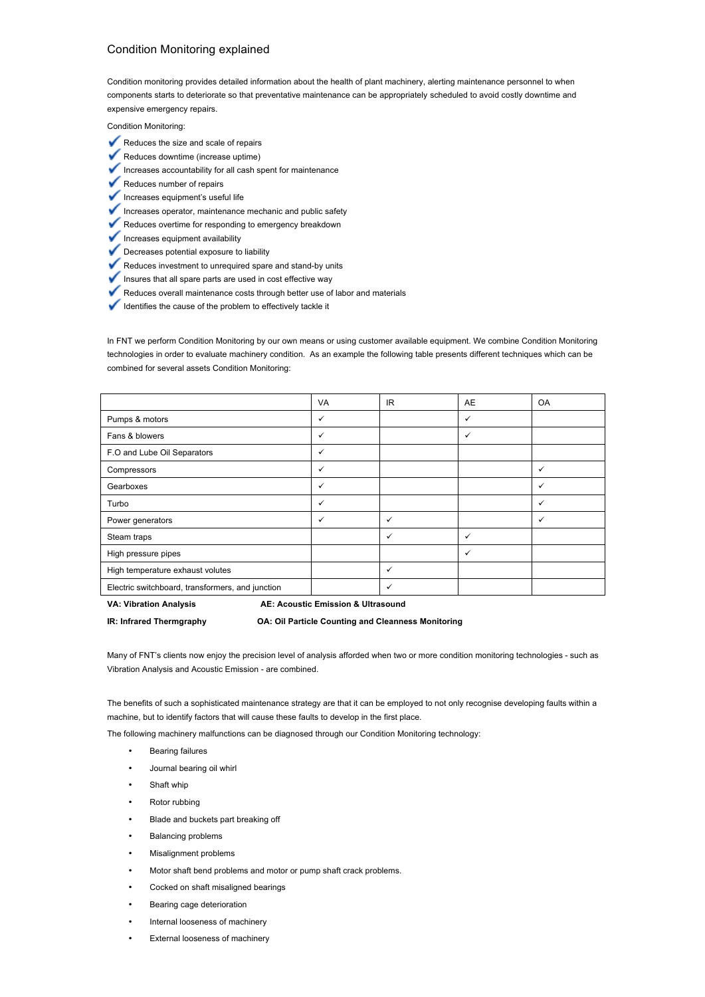## Condition Monitoring explained

Condition monitoring provides detailed information about the health of plant machinery, alerting maintenance personnel to when components starts to deteriorate so that preventative maintenance can be appropriately scheduled to avoid costly downtime and expensive emergency repairs.

Condition Monitoring:

- Reduces the size and scale of repairs
- Reduces downtime (increase uptime)
- Increases accountability for all cash spent for maintenance ✓
- ✓ Reduces number of repairs
- $\blacktriangleright$  Increases equipment's useful life
- Increases operator, maintenance mechanic and public safety
- Reduces overtime for responding to emergency breakdown
- $\blacktriangleright$  Increases equipment availability
- Decreases potential exposure to liability
- Reduces investment to unrequired spare and stand-by units
- Insures that all spare parts are used in cost effective way
- Reduces overall maintenance costs through better use of labor and materials
- Identifies the cause of the problem to effectively tackle it

In FNT we perform Condition Monitoring by our own means or using customer available equipment. We combine Condition Monitoring technologies in order to evaluate machinery condition. As an example the following table presents different techniques which can be combined for several assets Condition Monitoring:

|                                                  | <b>VA</b> | IR.          | AE           | <b>OA</b>    |
|--------------------------------------------------|-----------|--------------|--------------|--------------|
| Pumps & motors                                   | ✓         |              | ✓            |              |
| Fans & blowers                                   | ✓         |              | ✓            |              |
| F.O and Lube Oil Separators                      | ✓         |              |              |              |
| Compressors                                      | ✓         |              |              | ✓            |
| Gearboxes                                        | ✓         |              |              | ✓            |
| Turbo                                            | ✓         |              |              | ✓            |
| Power generators                                 | ✓         | $\checkmark$ |              | $\checkmark$ |
| Steam traps                                      |           | $\checkmark$ | $\checkmark$ |              |
| High pressure pipes                              |           |              | $\checkmark$ |              |
| High temperature exhaust volutes                 |           | $\checkmark$ |              |              |
| Electric switchboard, transformers, and junction |           | ✓            |              |              |

**VA: Vibration Analysis** 

**AE: Acoustic Emission & Ultrasound** 

**IR: Infrared Thermgraphy OA: Oil Particle Counting and Cleanness Monitoring**

Many of FNT's clients now enjoy the precision level of analysis afforded when two or more condition monitoring technologies - such as Vibration Analysis and Acoustic Emission - are combined.

The benefits of such a sophisticated maintenance strategy are that it can be employed to not only recognise developing faults within a machine, but to identify factors that will cause these faults to develop in the first place.

The following machinery malfunctions can be diagnosed through our Condition Monitoring technology:

- Bearing failures
- Journal bearing oil whirl
- Shaft whip
- Rotor rubbing
- Blade and buckets part breaking off
- Balancing problems
- Misalignment problems
- Motor shaft bend problems and motor or pump shaft crack problems.
- Cocked on shaft misaligned bearings
- Bearing cage deterioration
- Internal looseness of machinery
- External looseness of machinery